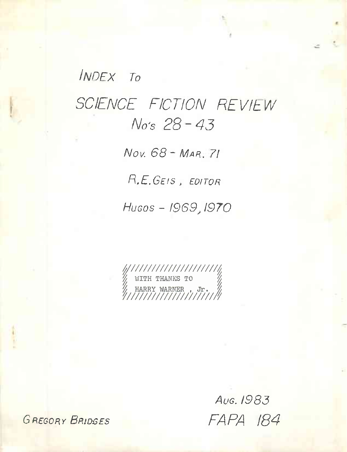# **INDEX To** SCIENCE FICTION REVIEW No's 28-43

Nov. 68 - MAR. 71

R.E.GEIS, EDITOR

Hugos - 1969, 1970

Aug. 1983 FAPA 184

**GREGORY BRIDGES**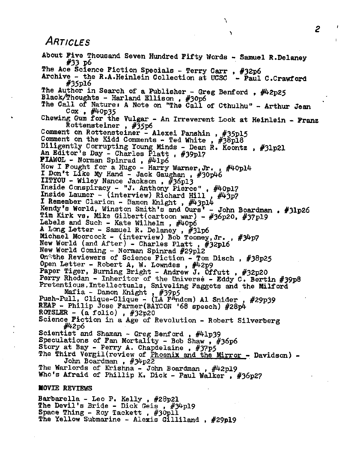## *Articles*

About Five Thousand Seven Hundred Fifty Words - Samuel R.Delaney #33 p6 The Ace Science Fiction Specials - Terry Carr, #32p6 Archive - the R.A.Heinlein Collection at UCSC - Paul C.Crawford #35pl6 The Author in Search of a Publisher - Greg Benford,  $\#42p25$ Black/Thoughts - Harland Ellison , #30p6 The Call of Nature: A Note on "The Call of Cthulhu" - Arthur Jean Cox ,  $\#4$  Op35 Chewing Gum for the Vulgar - An Irreverent Look at Heinlein - Franz Rottensteiner , #35p6 Comment on Rottensteiner - Alexei Panshin , #35pl5 Comment on the Kidd Comments - Ted White ,  $\#38p18$ Diligently Corrupting Young Minds - Dean R. Koontz , #31p21 An Editor's Day - Charles Platt , #39pl7 FIAWOL - Norman Spinrad , #41p6 How I Fought for a Hugo - Harry Warner,Jr. , #40pl4 now I rought for a hugo - harry Warner, Jr.<br>I Don't Like My Hand - Jack Gaughan , #30p46 IITYOU - Wiley Nance Jackson , #36pl3 Inside Conspiracy - "J. Anthony Pierce" , #40pl7 Inside Laumer - (interview) Richard Hill, #43p7 I Remember Clarion - Bamon Knight , #43pl4 Kendy's World, Winston Smith's and Ours' - John Boardman , #31p26 Tim Kirk vs. Mike Gilbert(cartoon war) - #36p20, #37pl9 Labels and Such - Kate Wilhelm , #40p6 A.Long Letter - Samuel R. Delaney , #31p6 Michael Moorcock - (interview) Bob Toomey, Jr., #34p7 New World (and After) - Charles Platt , #32pl6 New World Coming - Norman Spinrad #29pl2 On the Reviewers of Science Fiction - Tom Disch , #38p25 Open Letter - Robert A, W. Lowndes, #42p9 Paper Tiger, Burning Bright - Andrew J. Offutt , #32p20 Perry Rhodan - Inheritor of the Universe - Eddy C. Bertin #39p8 Pretentious,Intellectuals, Sniveling Faggots and the Milford Mafia - Damon Knight, #39p5 Push-Pull, Clique-Clique - (LA F<sup>A</sup>ndom) Al Snider, #29p39 REAP - Philip Jose Farmer(BAYCON '68 speech) #28p4 ROTSLER -  $(a \text{ folio})$ ,  $\#32p20$ Science Fiction in a Age of Revolution - Robert Silverberg #42p6 Scientist and Shaman - Greg Benford , #41p39 Speculations of Fan Mortality - Bob Shaw,  $\frac{2}{7}$ #36p6 Story at Bay - Perry A. Chapdelaine, #37p5 The Third Vergil(review of Phoenix and the Mirror - Davidson) -John Boardman , #34p22 John Boardman , #34p22<br>The Warlords of Krishna - John Boardman , #42p19 Who's Afraid of Phillip K. Dick - Paul Walker, #36p27 MOVIE REVIEWS

١

Barbarella - Leo P. Kelly , #28p21 The Devil's Bride - Dick Geis , #34pl9 Space Thing - Roy Tackett , #30pll The Yellow Submarine - Alexis Gilliland , #29pi9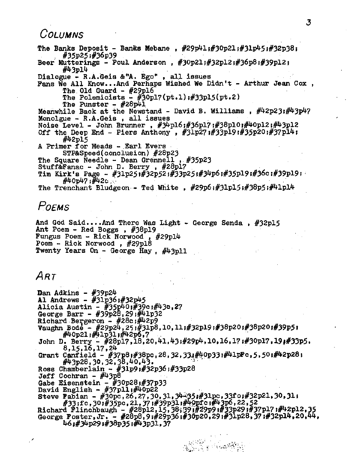#### *Columns*

The Banks Deposit - Banks Mebane,  $#29p41$ ; $#30p21$ ; $#31p45$ ; $#32p38$ ; #35p25j#36p39 Beer Mutterings - Poul Anderson , #3Op21;#32pl2;#36p8;#39pl2?  $\#43$ pl $4$ Dialogue - R.A.Geis &"A. Ego" , all issues Fans We All Know...And Perhaps Wished We Didn't - Arthur Jean Cox , The Old Guard -  $#29p16$ The Polemicists  $-$  #30pl7(pt.1):#33p15(pt.2) The Punster -  $#28p41$ Meanwhile Back at the Newstand - David B. Williams,  $\#42p23:\#43p47$ Monolgue - R.A.Geis , all issues Noise Level - John Brunner, #34pl6;#36pl7;#38pl0;#40pl2;#43pl2 Off the Deep End - Piers Anthony,  $\#31p27;#33p19;#35p20;#37p14;$  $\#42p15$ <sup>A</sup> Primer for Heads - Earl Evers STP&Speed(conclusion) #28p23 The Square Needle - Dean Grennell » #35P23 Stuff&Fanac - John D. Berry , #28pl7 Tim Kirk's Page - #31p25;#32p52;#33p25;#34p6;#35p19;#36c;#39p19;  $\#40p47;$   $\#42c$   $\therefore$ The Trenchant Bludgeon - Ted White ,  $#29p6$ ; $#31p15$ ; $#38p5$ ; $#41p14$ *Poems*

And God Said....And There Was Light - George Senda ,  $#32p15$ Ant Poem - Red Boggs , #38pl9 Fungus Poem - Rick Norwood , #29pl^ Poem <sup>~</sup> Rick Norwood , #29pl8 Twenty Years On - George Hay,  $\#43p11$ 

# *Art*

**Dan Adkins - #39p24** Al Andrews -  $#31p36$ ;  $#32p45$ Alicia Austin -  $\frac{4}{35}$ 5p<sup>4</sup>0; $\frac{4}{39}$ c; $\frac{4}{3}$ 9c,27 George Barr -  $\#39p28,29;$  $\#41p32$ Richard Bergeron -  $#28c$ ;  $#42p9$  $V = \frac{1}{2}$   $\frac{1}{2}$   $\frac{1}{2}$   $\frac{1}{2}$   $\frac{1}{2}$   $\frac{1}{2}$   $\frac{1}{2}$   $\frac{1}{2}$   $\frac{1}{2}$   $\frac{1}{2}$   $\frac{1}{2}$   $\frac{1}{2}$   $\frac{1}{2}$   $\frac{1}{2}$   $\frac{1}{2}$   $\frac{1}{2}$   $\frac{1}{2}$   $\frac{1}{2}$   $\frac{1}{2}$   $\frac{1}{2}$   $\frac{1}{2}$   $\frac{1}{2}$ #40p21 <sup>j</sup>#?Hp31»#^2po *<sup>1</sup>*7 John D. Berry - #28p17,18,20,41,43;#29p4,10,16,17;#30pl7,19;#33p5. 8,15,16,17.24 Grant Canfield - #37p8i#38pc,28,32,33i#40p33i#41pFc,5,50i#42p28i #43p28,30,32,38,40,43. Ross Chamberlain -  $#31p91#32p361#33p28$ Jeff Cochran - #43p8  $\frac{1}{3}$ Gabe Eisenstein - #30p28;#37p33 David English -  $\#37$ pli $\#40$ p22 Steve Fabian - #30pc,26,27,30,31,34-35.#31pc.33fo;#32p21,30,31; #33;fc.30;#35pc.21,37;#39p31;#40pfc;#43p6,22,52 Richard Flinchbaugh - #28p12,15,38;39;#29p9;#33p29;#37pl7;#42pl2,35 Richard Filhchbaugh - #20p12,13,304991#29p91#33p291#37p21+1#92p12,33<br>George Foster,Jr. - #28p8,91#29p361#30p20,291#31p28,371#32p14,20,44 46<#34p29i#38p35i#43p31,37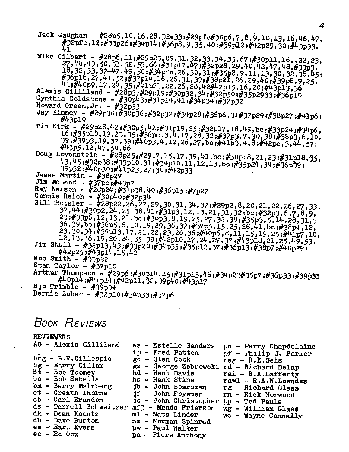Jack Gaughan - #28p5,10,16,28,32-33;#29pfc#30p6,7,8,9,10,13,16,46,47, #32pfc,12;#33p26;#34p14;#36p8,9,35,40;#39p12;#42p29,30;#43p33,  $\mu_1$ 

Mike Gilbert - #28p6,11;#29p23,29,31,32,33,34,35,67;#30p11,16,,22,23,<br>27,48,49,50,51,52,53,66;#31p17,47;#32p28,29,40,42,47,48,#33p3,  $18, 32, 33, 37-47, 49, 50, 49, 16, 26, 30, 31, 435p8, 9, 11, 13, 30, 32, 38, 45;$ <br> $#36p18, 27, 41, 52, 437p14, 16, 26, 31, 39;$ <br> $#39p21, 26, 29, 40, 43p8, 9, 25,$ 41,#40p9,17,24,35;#41p21,22,26,28,42#42p15,16,20;#43p13,36 Alexis Gilliland - #28p3;#29p19;#30p32,34;#32p50;#35p2933;#36p14

Cynthia Goldstone - #30p43;#31p14,41;#34p34;#37p32

- Howard Green,  $Jr #32p33$
- Jay Kinney #29p30;#30p36;#32p32;#34p28;#36p6,31#37p29;#38p27;#41p6;  $\#43p19$
- Tim Kirk #29p28,42;#30p5,42;#31p19,25;#32p17,18,49,bc;#33p24;#34p6, 16;#35p10,19,23,35;#36pc,3,4,17,28,32;#37p3,7,30,38,#38p3,6,10, 39 # 39 p3, 19, 37, 39 , #4 0p3, 4, 12, 26, 27, bc ; #41p3, 4, 8; #42pc, 3, 44, 57;
- 43,45;#32p38;#33p10,31;#34p10,11,12,13,bc;#35p24,34;#36p39; 39p32;#40p30;#41p23,27;30;#42p33
- James Martin  $#38p27$
- Jim McLeod  $#37pc$  :  $#43p7$
- Ray Nelson #28p24;#31p38,40;#36p15;#7p27
- Connie Reich  $\#30p40.792p34$

Bill:Rotsler - #28p22,26,27,29,30,31,34,37;#29p2,8,20,21,22,26,27,33.<br>37,44;#30p2,24,25,38,41;#31p3,12,13,21,31,32;bc;#32p3,6,7,8,9, 23 #33p6,12,13,21,bc;#34p5,8,19,25,27,32,38;#35p3,5,14,28,31, 36, 39, bc ;#36p5, 6, 10, 19, 25, 36, 37;#37p5, 15, 25, 28, 41, bc ;#38p4, 12,<br>23, 30, 34;#39p13, 17, 21, 22, 23, 26, 36;#40p6, 8, 11, 15, 19, 25;#41p7, 10, 12,13,16,19,20,24,35,39;#42p10,17,24,27,37;#43p18,21,23,49,53. Jim Shull - #32p13,43;#33p20;#34p35;#35p12,37;#36p13;#38p7;#40p29;  $\#42p25;\#43p14.15.42$ Bob Smith -  $\#33p22$ 

```
Stan Taylor - \frac{1}{2}37p10
```
Arthur Thompson - #29p6:#30p14,15:#31p15,46:#34p23#35p7:#36p33:#39p33 #40p14;#41p14;#42p11,32,39p40;#43p17

- Bjo Trimble  $#3\bar{9}p3\bar{4}$
- Bernie Zuber #32p10;#34p33;#37p6

### BOOK REVIEWS

#### REVIEWERS

| AG - Alexis Gilliland   | es - Estelle Sanders                     | pc - Perry Chapdelaine |
|-------------------------|------------------------------------------|------------------------|
|                         | fp - Fred Patten                         | pf - Philip J. Farmer  |
| brg - B.R.Gillespie     | gc - Glen Cook                           | $reg - R.E.Geis$       |
| bg - Barry Gillam       | gz - George Zebrowski rd - Richard Delap |                        |
| bt - Bob Toomey         | hd - Hank Davis                          | ral - R.A.Lafferty     |
| bs - Bob Sabella        | hs - Hank Stine                          | rawl - R.A.W.Lowndes   |
| bm - Barry Malzberg     | jb - John Boardman rg - Richard Glass    |                        |
| ct - Creath Thorne      | jf - John Foyster                        | rn – Rick Norwood      |
| cb - Carl Brandon       | ic - John Christopher tp - Ted Pauls     |                        |
| ds - Darrell Schweitzer | mf3 - Meade Frierson                     | wg - William Glass     |
| dk - Dean Koontz        | ml - Mats Linder                         | wc - Wayne Connally    |
| db - Dave Burton        | ns - Norman Spinrad                      |                        |
| ee – Earl Evers         | pw - Paul Walker                         |                        |
| ec - Ed Cox             | pa - Piers Anthony                       |                        |
|                         |                                          |                        |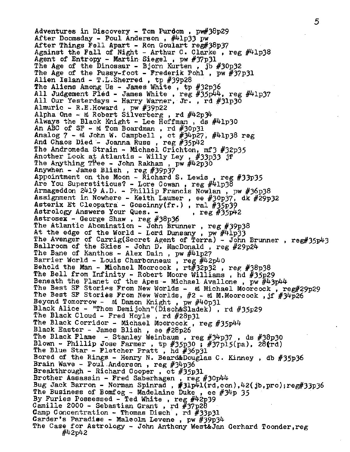Adventures in Discovery - Tom Purdom , pw#38p29 After Doomsday - Poul Anderson , #41p33 pw After Things Fell Apart - Ron Goulart reg#38p37 Against the Fall of Night - Arthur C. Clarke, reg  $\#41p38$ Agent of Entropy - Martin Siegel , pw #37p31 The Age of the Dinosaur - Bjorn Kurten , jb #30p32 The Age of the Pussy-foot - Frederik Pohl, pw  $\#37p31$ Alien Island - T.L.Sherred, tp  $#39p28$ The Aliens Among Us - James White , tp #32p36 All Judgement Fled - James White , reg #35p44, reg #41p37 All Our Yesterdays - Harry Warner, Jr. , rd #31p3O Almuric - R.E.Howard , pw #39p22 Alpha One -  $\alpha$  Robert Silverberg, rd  $\#42p\#$ Always the Black Knight - Lee  $\overline{H}$ offman , ds  $\#4$ 1p30 An ABC of  $SF - et Tom Boardman$ , rd  $#30p31$ Analog 7 - ed John W. Campbell , ct  $#34p27$ ,  $#41p38$  reg And Chaos Died - Joanna Russ , reg #35p42 The Andromeda Strain - Michael Crichton, mf3 #32p35 Another Look at Atlantis - Willy Ley, #33p33 jf The Anything Tree - John Rakham, pw  $\#42p30$ Anywhen - James Blish , reg #39p37 Appointment on the Moon - Richard S. Lewis , reg #33p35 Are You Superstitious? - Lore Cowan, reg #41p38 Armageddon 2419 A.D. - Phillip Francis Nowlan , pw #3&p38 Assignment in Nowhere - Keith Laumer , ee #30p37» dk #29p32 Asterix Et Cleopatra - Goscinny(fr.), ral #35p39<br>Astrology Answers Your Ques. - , reg #35p42 Astrology Answers Your Ques. -Astrosex - George Shaw , reg #38p36 The Atlantic Abomination - John Brunner , reg #39p38 At the edge of the World - Lord Dunsany , pw #41p33 The Avenger of Carrig(Secret Agent of Terra) - John Brunner , reg#35p43 Ballroom of the Skies - John D. MacDonald , reg #29p24 The Bane of Kanthos - Alex Dain, pw  $\#41p27$ Barrier World - Louis Charbonneau, reg  $\#42p40$ Behold the Man - Michael Moorcock,  $rt#32p32$ , reg  $#38p38$ The Bell from Infinity - Robert Moore Williams , hd #35p29 Beneath the Planet of the Apes - Michael Avallone, pw  $\#43p44$ The Best SF Stories From New Worlds - ed Michael Moorcock, reg#29p29 The Best SF Stories From New Worlds,  $#2 - ed$  M.Moorcock, jf  $#34p26$ Beyond Tomorrow - ed Damon Knight , pw #40p31 Black Alice - "Thom Demijohn"(Disch&Sladek) , rd #35p29 The Black Cloud - Fred Hoyle , rd #28p31 The Black Corridor - Michael Moorcock, reg #35p44 Black Easter - James Blish , ee #28p26 The Black Flame - Stanley Weinbaum , reg #34p37, ds #38p30 Blown - Phillip Jose Farmer, tp #35p30 : #37pl5(pa), 28(rd) The Blue Star - Fletcher Pratt, hd #36p31 Bored of the Rings - Henry N. Beard&Douglas C. Kinney , db #35p36 Brain Wave - Poul Anderson , reg #34p36 Breakthrough - Richard Cooper , ct #35p31 Brother Assassin - Fred Saberhagen , reg #30p44 Bug Jack Barron - Norman Spinrad , #31p41(rd,con),42(jb,pro);reg#33p36 The Business of Bomfog - Madelaine Duke, ee  $#34p 35$ By Furies Possessed - Ted White , reg #42p39 Camille 2000 - Sebastian Grant, rd  $\#37p28$ Camp Concentration - Thomas Disch' , rd #33p31 Carder's Paradise - Maleolm Levene , pw #39p34 The Case for Astrology - John Anthony West&Jan Gerhard Toonder, reg #42p42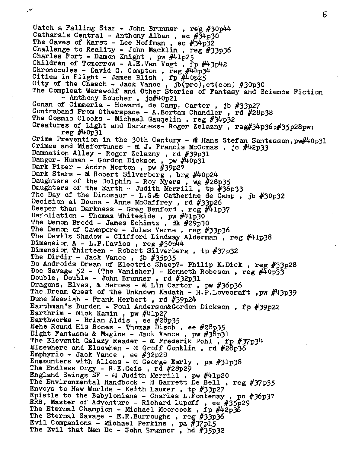Catch a Falling Star - John Brunner , reg #30p44 Catharsis Central - Anthony Alban, ec  $\#34p30$ The Caves of Karst - Lee Hoffman, ec  $#34p32$ Challenge to Reality - John Macklin , reg #33p36 Charles Fort - Damon Knight , pw #41p25 Children of Tomorrow - A.E.Van Vogt , fp #43p42 Chronocules - David G. Compton,  $res$  #41p34 Cities in Flight - James Blish, fp #40p25 City of the Chasch - Jack Vance, jb(pro),ct(con) #30p30 The Compleat Werewolf and Other Stories of Fantasy and Science Fiction - Anthony Boucher , jc#40p21 Conan of Cimmeria - Howard, de Camp, Carter , jb #33p27 Contraband From Otherspace - A.Bertam Chandler , rd #28p38 The Cosmic Clocks - Michael Gauqelin , reg #34p32 Creatures of Light and Darkness- Roger Zelazny, reg#34p36 J#35p28pw; reg #40p31 Crime Prevention in the 30th Century -  $\mathcal{R}$  Hans Stefan Santesson,  $pw\#40p31$ Crimes and Misfortunes - ed J. Francis McComas, jc  $\#42p33$ Damnation Alley - Roger Zelazny , rd #39p31 Danger- Human - Gordon Dickson , pw #40p31 Dark Piper - Andre Norton , pw #39p27 Dark Stars - ed Robert Silverberg, brg #40p24 Daughters of the Dolphin - Roy Myers , wg #28p35 Daughters of the Earth - Judith Merrill , tp  $#36p33$ The Day of the Dinosaur - L.S. catherine de Camp , jb #30p32. Decision at Doona - Anne McCaffrey , rd #33p26 Deeper than Darkness - Greg Benford, reg  $\#41p37$ Defoliation - Thomas Whiteside , pw #41p30 The Demon Breed - James Schimtz , dk #29p30 The Demon of Cawnpore - Jules Verne , reg #33p36 The Devils Shadow - Clifford Lindsay Alderman, reg #41p38 Dimension <sup>A</sup> - L.P.Davies , reg #30p44 Dimension Thirteen - Robert Silverberg , tp #37p32 The Dirdir - Jack Vance , jb #35p35 Do Androids Dream of Electric Sheep?- Philip K.Dick , reg #33p28 Doc Savage  $52$  - (The Vanisher) - Kenneth Robeson, reg  $\#40p33$ Double, Double - John Brunner , rd #32p31 Dragons, Elves, & Heroes - ed Lin Carter , pw #36p36 The Dream Quest of the Unknown Kadath - H.P. Lovecraft , pw #43p39 Dune Messiah - Frank Herbert , rd #39p24 Earthman's Burden - Poul Anderson&Gordon Dickson , fp #39p22 Earthrim - Nick Kamin, pw  $\#41p27$ Earthworks -Brian Aldis , ee #28p35 Etho Round His Bones - Thomas Disch , ee #28p35 Eight Fantasms & Magics - Jack Vance , pw #3§p31 The Eleventh Galaxy Reader - ed Frederik Pohl , fp #37p34 Elsewhere and Elsewhen - ed Groff Conklin , rd #28p3§ Emphyrio - Jack Vance , ee #32p28 Encounters with Aliens - ed George Early, pa  $#31p38$ The Endless Orgy - R.E.Geis , rd #28p29 England, Swings SF - ed Judith Merrill , pw #41p20 The Environmental Handbook - ed Garrett De Bell, reg #37p35 Envoys to New Worlds - Keith Laumer , tp #33p27 Epistle to the Babylonians - Charles L.Fontenay , pc #36p37 ERB, Master of Adventure - Richard Lupoff , ee #35p29 The Eternal Champion - Michael Moorcock, fp  $\#42p36$ The Eternal Savage - E.R.Burroughs, reg  $#33p36$ Evil Companions - Michael Perkins , pa #37pl5 The Evil that Men Do - John Brunner, hd  $#35p32$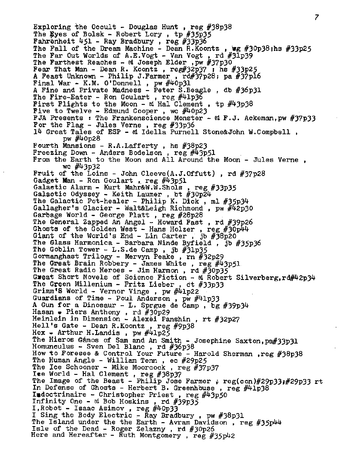Exploring the Occult - Douglas Hunt, reg  $#38p38$ The Eyes of Bolsk - Robert Lory, tp  $#35p35$ Fahrenheit  $451$  - Ray Bradbury, reg #33p36 The Fall of the Dream Machine - Dean R.Koontz, wg  $#30p38$ ;hs  $#33p25$ The Far Out Worlds of A.E.Vogt - Van Vogt, rd  $\#3\overline{1}$ p39 The Farthest Reaches - ed Joseph Elder,  $p_w$  #37p30 Fear That Man - Dean R. Koontz, reg#32p37  $\overline{1}$  hs #33p25 A Feast Unknown - Philip J.Farmer,  $\text{rd}\#37\text{p}28$ ; pa  $\#37\text{p}16$ Final War - K.M. O'Donnell, pw  $\#40p31$ <sup>A</sup> Fine and Private Madness - Peter S.Beagle , db #36p31 The Fire-Eater - Ron Goulart, reg  $\#41p36$ First Flights to the Moon - ed Hal Clement , tp  $\#43p38$ Five to Twelve - Edmund Cooper , wc #40p23 FJA Presents : The Frankenscience Monster - ed F.J. Ackeman, pw  $#37p33$ For the Flag - Jules Verne, reg  $#33p36$ 14 Great Tales of ESP - ed Idella Purnell Stone&John W.Compbell , pw #40p28 Fourth Mansions -  $R.A.Lafferty$ . hs  $#38p23$ Freezing Down - Anders Bodelson , reg #43p51 From the Earth to the Moon and All Around the Moon - Jules Verne , wc  $\#43p32$ Fruit of the Loins - John Cleeve $(A, J, 0$ ffutt), rd  $#37p28$ Gadget Man - Ron Goulart, reg  $\#43p51$ Galactic Alarm - Kurt Mahr&W.W.Shols , reg #33p35 Galactic Odyssey - Keith Laumer , bt #30p24 The Galactic Pot-healer - Philip K. Dick, ml #35p34 Gallagher's Glacier - Walt&Leigh Richmond , pw #42p30 Garbage World - George Platt , reg #28p28 The General Zapped An Angel - Howard Fast , rd #39p26 Ghosts of the Golden West - Hans Holzer , reg #30p44 Giant of the World's End - Lin Carter, jb  $\sqrt{\frac{38p20}{n}}$ The Glass Harmonica - Barbara Ninde Byfield , jb  $#35p36$ The Goblin Tower - <L.S.de> Camp, jb  $#31p35$ Gormanghast Trilogy - Mervyn Peake , rn #32p29 The Great Brain Robbery - James White , reg  $\#43p51$ The Great Radio Heroes - Jim Harmon, rd  $\#30p35$ Great Short Novels of Science Fiction - ed Robert Silverberg, rd#42p34 The Green Millenium - Fritz Lieber , ct #33p33 Grimm'<sup>S</sup> World - Vernor Vinge , pw #41p22 Guardians of Time - Poul Anderson , pw #41p33 <sup>A</sup> Gun for a Dinosaur - L. Sprgue de Camp , bg #39p34 Hasan • Piers Anthony , rd #30p29 Heinlein in Dimension - Alexei Panshin , rt #32p27 Hell's Gate - Dean R.Koontz , reg #9p<sup>38</sup> Hex  $\bullet$  Arthur H.Landis, pw  $\#41p25$ The Hieros G&mos of Sam and An Smith - Josephine Saxton,pa#33p31 Homunculus - Sven Del Blanc , rd #36p38 How to Foresee & Control Your Future - Harold Sherman ,reg #38p38 The Human Angle - William Tenn , ec #29p25 The Ice Schooner - Mike Moorcock, reg  $#37p37$ lee World - Hal Clement , reg #38p37 The Image of the Beast - Philip Jose Farmer ;  $reg(con)$ #29p33;#29p33 rt In Defense of Ghosts - Herbert B. Greenhouse, reg  $\#41p38$ Indoctrinaire - Christopher Priest, reg  $\#43p50$ Infinity One - ed Bob Hoskins , rd #39p35 I,Robot - Isaac Asimov , reg #40p33 I Sing the Body Electric - Ray Bradbury, pw  $#38p31$ The Island under the the Earth - Avram Davidson, reg  $#35p44$ Isle of the Dead - Roger Zelazny , rd #30p26 Here and Hereafter - Ruth Montgomery , reg #35p42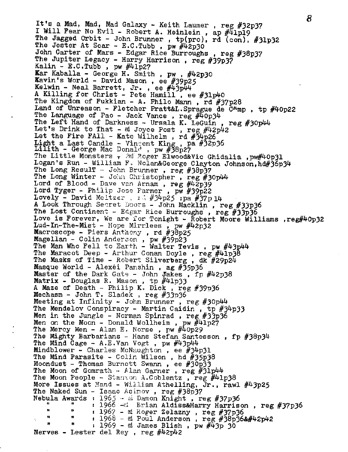8 It'<sup>s</sup> <sup>a</sup> Mad, Mad, Mad Galaxy - Keith Laumer , reg #32p37 I Will Fear No Evil - Robert A. Heinlein, ap #41pl9 The Jagged Orbit - John Brunner , tp(pro), rd (con), #31p32 The Jester At Scar - E.C. Tubb, pw  $\#42p30$ John Carter of Mars - Edgar Rice Burroughs , reg #38p37 The Jupiter Legacy - Harry Harrison, reg #39p37 Kalin -  $E.C.Tubb$ , pw  $\#41p27$ Kar Kaballa - George H. Smith , pw , #42p30 Kavin's World - David Mason , ee #39p25 Kelwin - Neal Barrett, Jr. , ee #43p44 <sup>A</sup> Killing for Christ - Pete Hamill , ee #31p40 The Kingdom of Fukkian - A. Philo Mann, rd #37p28 Land of Unreason - Fletcher Pratt&L. Sprague de  $\bar{C}$ Amp, tp #40p22 The Language of Pao - Jack Vance, reg #40p34 The Left Hand of Darkness - Ursala K. LeGuin, reg #30p44 Let's Drink to That - ed Joyce Post , reg #42p42 Let the Fire FA11 - Kate Wilhelm, rd  $#34p26$ Light a Last Candle - Vincent King, pa #32p36 Lilith - George Mac Donald , pw  $#36p27$ The Little Monsters  $\tau$  2d Roger Elwood&Vic Ghidalia , pw#40p31 Logan's Run - William F. Nolan&George Clayton Johnson,hd#36p34 The Long Resulf - John Brunner, reg #38p37 The Long Winter - John Christopher, reg #30p44 Lord of Blood - Dave van Arnam, reg  $\#4\overline{2}p39$ Lord Tyger - Philip Jose Farmer , pw #39p22 Lovely - David Meltzer , rd  $#34p25$  ;pa  $#37p14$ A Look Through Secret Doors - John Macklin, reg #33p36 The Lost Continent - Edgar Rice Burroughs, reg  $#33p36$ Love is Forever, We are for Tonight - Robert Moore Williams , reg#40p32 Lud-In-The-Mist - Hope Mirrlees , pw #42p32 Macroscope - Piers Anthony, rd #38p25 Magellan - Colin Anderson , pw #39p23 The Man Who Fell to Earth - Walter Tevis, pw  $\#43p44$ The Maracot Deep - Arthur Conan Doyle, reg #41p38 The Masks of Time - Robert Silverberg , dk #29p24 Masque World - Alexei Panshin , ag #35p36 Master of the Dark Gate - John Jakes , fp  $\#42p38$ Matrix - Douglas R. Mason , tp #41p33 <sup>A</sup> Maze of Death - Philip K. Dick , reg #39p36 Mechasm - John T. Sladek , reg #33p36 Meeting at Infinity - John Brunner , reg #30p44 The Mendelov Conspiracy - Martin Caidin, tp #34p33 Men in the Jungle - Norman Spinrad , reg #33p3& Men on the Moon - Donald Wollheim , pw #41p27 The Mercy Men - Alan E. Norse , pw #40p29 The Mighty Barbarians - Hans Stefan Santesson , fp #38p34 The Mind Cage - A.E.Van Vogt, pw  $\#43p44$ Mindblower - Charles McNaughton , ee #34p31 The Mind Parasite - Colin Wilson , hd #35p38 Moondust - Thomas Burnett Swann , ee #30p33 The Moon of Gomrath - Alan Garner, reg  $\frac{1}{2}J_1p^{4/4}$ The Moon People - Stanton A.Coblentz, reg  $\#41p38$ More Issues at Hand - William Athelling, Jr., rawl #43p25 The Naked Sun - Isaac Asimov , reg #38p37 nebula Awards : 1965 - al Damon Knight, reg #37p36 " " s 1966 -ed Brian Aldiss&Harry Harrison, reg #37p36 \*' " « 1967 - sd Roger Zelazny , reg #37p36  $"$   $"$   $"$   $"$   $1968 - @$  Poul Anderson, reg #38p36&#42p42 :  $1969 - ed$  James Blish, pw  $#43p$  30 Nerves - Lester del Rey , reg #42p42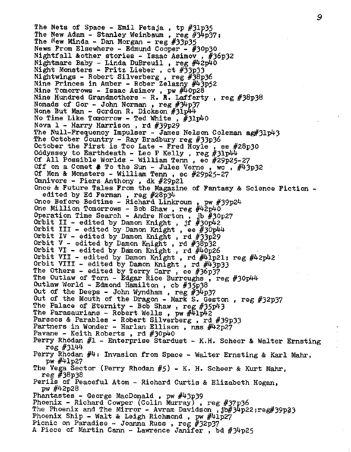The Nets of Space - Emil Petaja , tp #31p35 The New Adam - Stanley Weinbaum , reg *tfjhpy?* <sup>j</sup> The New Minda - Dan Morgan - reg  $#33p35$ News From Elsewhere - Edmund Cooper - #30p30 Nightfall &other stories - Isaac Asimov , #36p32 Nightmare Baby - Linda DuBreuil, reg  $\#42p\ddot{40}$ Night Monsters - Fritz Lieber , ct #33p33 Nightwings - Robert Silverberg , reg #3§P36 Nine Princes in Amber - Rober Zelazny #43p52 Nine Tomorrows - Isaac Asimov , pw #40p28 Nine Hundred Grandmothers - R. R. Lafferty , reg #38p38 Nomads of Gor - John Norman, reg  $\#34p37$ None But Man - Gordon R. Dickson #31pW No Time Like Tomorrow - Ted White , #31p40 Nova 1 - Harry Harrison , rd #39p29 The Null-Frequency Impulser - James Nelson Coleman ag#31p43 The October Country - Ray Bradbury reg  $#33p36$ October the First is Too Late - Fred Hoyle , ee #28p30 Oddyssey to Earthdeath - Leo P Kelly, reg  $#31p44$ Of All Possible Worlds - William Tenn , ec #29p25-27 Off on a Comet  $#$  To the Sun - Jules Verne, wc,  $#43p32$ Of Men & Monsters - William Tenn , ec #29p25-27 Omnivore - Piers Anthony , dk #29p21 Once & Future Tales From the Magazine of Fantasy & Science Fiction edited by Ed Ferman, reg  $#28p34$ Once Before Bedtime - Richard Linkroum, pw #39p24 One Million Tomorrows - Bob Shaw, reg  $\#42p40$ Operation Time Search - Andre Norton , jb #30p27 Orbit II - edited by Damon Knight, jf  $#30p42$ Orbit III - edited by Damon Knight, ee  $#30p44$ Orbit IV - edited by Damon Knight , rd #33p29 Orbit <sup>V</sup> - edited by Damon Knight , rd #3§p32 Orbit VI - edited by Damon Knight , rd #40p26 Orbit VII - edited by Damon Knight, rd  $\#$ lp21: reg  $\#$ 42p42 Orbit VIII - edited by Damon Knight, rd  $\#43p33$ The Others - edited by Terry Carr, ee #36p37 The Outlaw of Torn - Edgar Rice Burroughs, reg  $#30p44$ Outlaw World - Edmond Hamilton , cb #35p38 Out of the Deeps - John Wyndham, reg  $#34p37$ Out of the Mouth of the Dragon - Mark S. Geston , reg #32p37 The Palace of Eternity - Bob Shaw, reg  $#35p43$ The Parasaurians - Robert Wells, pw  $\#41p42$ Parsecs & Parables - Robert Silverberg , rd #39p33 Partners in Wonder - Harlan Ellison, nas #42p27 Pavane - Keith Roberts, rd  $\#30p40$ Perry Rhodan #1 - Enterprise Stardust - K.H. Scheer & Walter Ernsting reg #3144 Perry Rhodan #4: Invasion from Space - Walter Ernsting & Karl Mahr, pw  $\#4$ lp27 The Vega Sector (Perry Rhodan #5) - K. H. Scheer & Kurt Mahr, reg #38p38 Perils of Peaceful Atom - Richard Curtis & Elizabeth Hogan, pw #42p28 Phantastes - George MacDonald , pw #43p39 Phoenix - Richard Cowper (Colin Murray), reg #37p36 The Phoenix and The Mirror - Avram Davidson , jb#3^p22;reg#39p33 Phoenix Ship - Walt & Leigh Richmond, pw  $\#41p27$ Picnic on Paradise - Joanna Russ , reg #32p37

<sup>A</sup> Piece of Martin Cann - Lawrence Janifer , bd #3^p25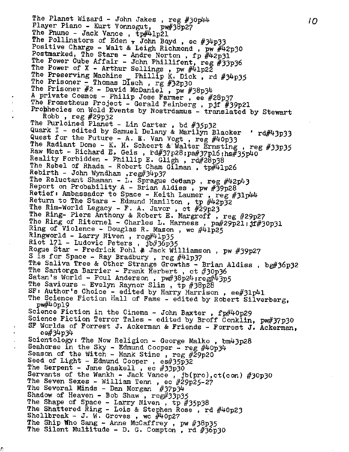The Planet Wizard - John Jakes, reg  $#30p44$ Player Piano - Kurt Vonnegut, pw#38p27 The Pnume - Jack Vance, tp#41p21 The Pollinators of Eden  $\tau$  John Boyd, ec #34p33 Positive Charge - Walt & Leigh Richmond , pw  $\#42p30$ Postmarked, The Stars - Andre Norton, fp  $\#42p31$ The Power Cube Affair - John Phillifent, reg  $#33p36$ The Power of X - Arthur Sellings, pw  $\#41p2\overline{2}$ The Preserving Machine Phillip K. Dick, rd #34p35 The Prisoner  $\leq$  Thomas Disch, rg #32p30 The Prisoner *#2* - David McDaniel , pw #38p34 <sup>A</sup> private Cosmos - Philip Jose Farmer , ee #28p37 The Prometheus Project - Gerald Feinberg, pjf #39p21 Prophecies on Wold Events by Nostrdamus - translated by Stewart Robb,  $reg$   $#29p32$ The Purloined Planet - Lin Carter , bd #35p32 Quark I - edited by Samuel Delany & Marilyn Blacker '  $rd\#43p33$ Quest for the Future - A. E. Van Vogt, reg  $\#40p33$ The Radiant Dome - K. H. Scheert & Walter Ernsting , reg #33p35 Raw Meat - Richard E. Geis,  $rd#37p28$ ;  $pa#37p16$ ;  $hs#35p40$ Reality Forbidden - Phillip E. Gligh , rd#28p38 The Rebel of Rhada - Robert Cham Gilman,  $tp\#41p26$ Rebirth - John Wyndham ,reg#34p37 The Reluctant Shaman - L. Sprague deCamp, reg #42p43 Report on Probability  $A - B$ rian Aldiss, pw #39p28 Retief *<sup>t</sup>* Ambassador to Space - Keith Laumer , reg #31p44 Return to The Stars - Edmund Hamilton , tp #42p32 The Rim-World Legacy - F. A. Javor , ct #29p23 The Ring- Piers Anthony & Robert E. Margroff , reg #29p27 The Ring of Ritornel - Charles L. Harness, pa#29p21; jf#30p31 Ring of Violence - Douglas R.- Mason , wc #41p25 Ringworld - Larry Niven, reg#41p35 Riot 171 - Ludovic Peters, jb#36p35 Rogue Star - Fredrick Pohl & Jack Williamson, pw #39p27 <sup>S</sup> is for Space - Ray Bradbury , reg #41p37 The Saliva Tree & Other Strange Growths - Brian Aldiss, bg#36p32 The Santorga Barrier - Frank Herbert, ct #30p36 Satan's World - Poul Anderson,  $pw#38p24$ ;  $reg#43p5$ The Saviours - Evelyn Raynor Slim , tp #38p28 SF: Author's Choice - edited by Harry Harrison, ee#31p41 The Science Fiction Hall of Fame - edited by Robert Silverberg. pw#40pl9 . Science Fiction in the Cinema - John Baxter , fp#40p29 Science Fiction Terror Tales - edited by Broff Conklin, pw#37p30 SF Worlds of Forrest J. Ackerman & Friends - Forrest J. Ackerman, . ee#34p34 Scientology: The Now Religion - George Malko , bm43p28 Seahorse in the Sky - Edmund Cooper - reg  $\#40p34$ Season of the Witch - Hank Stine , reg  $\#29p20$ Seed of Light - Edmund Cooper , es#35p32 The Serpent - Jane Gaskell , ec #33p30 Servants of the Wankh - Jack Vance, jb(pro),ct(con) #30p30 The Seven Sexes - William Tenn, ec #29p25-27 The Several Minds - Dan Morgan #37p34 Shadow of Heaven - Bob Shaw , reg#33p35 The Shape of Space - Larry Niven, tp #35p38 The Shattered Ring - Lois & Stephen Rose , rd #40p23 Shellbreak - J. W. Groves, wc #40p27 The Ship Who Sang - Anne McCaffrey , pw #38p35 The Silent Multitude - D. G. Compton , rd #36p3O

Ŋ

*IO*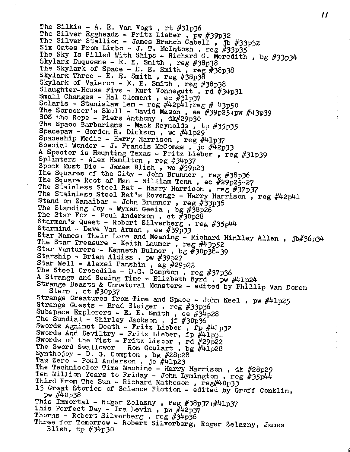The Silkie - A. E. Van Vogt, rt  $#31p36$ The Silver Eggheads - Fritz Lieber, pw #39p32 The Silver Stallion - James Branch Cabell , jb #33p32 Six Gates From Limbo - J. T. McIntosh, reg  $#33p\overline{35}$ The Sky Is Filled With Ships - Richard C. Meredith, bg #33p34 Skylark Duquesne - E. E. Smith, reg #38p38 The Skylark of Space - E. E. Smith , reg #38p38 Skylark Three - E. E. Smith , reg #38p3§ Skylark of Valeron - E. E. Smith, reg #38p38 Slaughter-House Five - Kurt Vonnegutt , rd #34p31 Small Changes - Hal Clement, ec  $\frac{1}{2}$ 1p37 Solaris - Stanislaw Lem - reg  $\#42p41$ ;reg  $\#$  43p50 The Sorcerer's Skull - David Mason , ee #39p25;pw #43p39 SOS the Rope - Piers Anthony , dk#29p30 The Space Barbarians - Mack Reynolds, tp #35p35 Spacepaw - Gordon R. Dickson, wc #41p29 Spaceship Medic - Harry Harrison, reg #41p37 Soecial Wonder - J. Francis McComas, jc #42p33 <sup>A</sup> Spector is Haunting Texas - Fritz Lieber , reg #31p39 Splinters - Alex Hamilton, reg #34p37 Spock Must Die - James Blish , wc #39p23 The Squares of the City - John Brunner , reg #38p36 The Square Root of Man - William Tenn, ec #29p25-27 The Stainless Steel Rat - Harry Harrison, reg #37p37 The Stainless Steel Rat's Revenge - Harry Harrison, reg #42p41 Stand on Zanaibar - John Brunner, reg #33p36 The Standing Joy - Wyman Geeia, bg #38p26 The Star Fox - Poul Anderson, ct  $#30p28$ Starman's Quest - Robert Silverberg , reg #35p44 Starmind - Dave Van Arman, ee  $#39\bar{p}33$ Star Names: Their Lore and Meaning - Richard Hinkley Allen, jb#36p34 The Star Treasure - Keith Laumer, reg  $\#43p52$ Star Vanturers - Kenneth Bulmer, bg  $#30p38-39$ Starship - Brian Aldiss , pw #39p27 Star Well - Alexei Panshin , ag #29p22 The Steel Crocodile - D.G. Compton , reg #37p36 <sup>A</sup> Strange and Seeing Time - Elizbeth Byrd , pw #41p24 Strange Beasts & Unnatural Monsters - edited by Phillip Van Doren<br>Stern, ct  $\#30p37$ Strange Creatures from Time and Space - John Keel, pw #41p25 Strange Guests - Brad Steiger , reg #33p3& Subspace Explorers - E. E. Smith , ee  $#34p28$ The Sundial - Shirley Jackson, jf #30p36 Swords Against Death - Fritz Lieber, fp #41p32 Swords And Deviltry - Fritz Lieber, fp #41p31 Swords of the Mist - Fritz Lieber, rd #29p22 The Sword Swallower - Ron Goulart, bg  $\#41\overline{p}28$ Synthojoy - D, G. Compton , bg #28p28 Tau Zero - Poul Anderson, jc #41p23 The Technicolor Time Machine - Harry Harrison, dk #28p29 The Technicolor Time Machine - Harry Harrison , dk #28p29<br>Ten Million Years to Friday - John Lymington , reg #35p44<br>Third From The Sun - Richard Matheson , reg#40p33 Third From The Sun - Richard Matheson, reg#40p33 13 Great Stories of Science Fiction - edited by Groff Conklin, pw #M'0p38 This Immortal - Roger Zelazny , reg #38p37 ;#41p37 This Perfect Day - Ira Levin, pw #42p37 Thorns - Robert Silverberg, reg #34p36 Three for Tomorrow - Robert Silverberg, Roger Zelazny, James Blish, tp  $#34p30$ 

 $\boldsymbol{\mu}$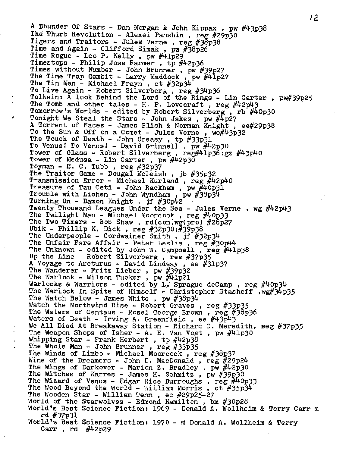A Dhunder Of Stars - Dan Morgan & John Kippax , pw #43p38 The Thurb Revolution - Alexei Panshin, reg #29p30 Tigers and Traitors - Jules Verne, reg #38p38 Time and Again - Clifford Simak, px  $\#38p26$ Time Rogue - Leo P. Kelly , pw #41p29 Timestops - Philip Jose Farmer , tp #42p36 Times.without Number - John Brunner , pw #39p27 The Time Trap Gambit - Larry Maddock , pw #41p27 The Tin Men - Michael Frayn , ct #32p34 To Live Again - Robert Silverberg, reg #34p36 Tolkein:  $\bar{A}$  look Behind the Lord of the Rings - Lin Carter, pw#39p25 The Tomb and other tales - H. P. Lovecraft *, reg* #42p43 Tomorrow's Worlds - edited by Robert Silverberg, rb #40p30 Tonight We Steal the Stars - John Jakes , pw #4p27 <sup>A</sup> Torrent of Faces - James Blish & Norman Knight , ee#29p38 To the Sun & Off on a Comet - Jules Verne,  $wc\#43p32$ The Touch of Death - John Creasy, tp #33p31 To Venus! To Venus! - David Grinnell , pw #42p30 Tower of Glass - Robert Silverberg, reg#41p36;gz #43p40 Tower of Medusa - Lin Carter, pw #42p30 Toyman - E. C. Tubb, reg  $\#32p37$ The Traitor Game - Dougal McLeish, jb #35p32 Transmission Error - Michael Kurland , reg #42p40 Treasure of Tau Ceti - John Rackham, pw  $\#4$ 0p31 Trouble with Lichen - John Wyndham, pw  $\#38p\bar{3}4$ Turning On - Damon Knight , jf #30p42 Twenty Thousand Leagues Under the Sea - Jules Verne , wg #42p43 The Twilight Man - Michael Moorcock, reg #40p33 The Two Timers - Bob Shaw , rd(con)wg(pro) #28p27 Ubik - Phillip K. Dick , reg #32p3Q:#39p<sup>38</sup> The Underpeople - Cordwainer Smith, jf  $#32p34$ The Unfair Fare Affair - Peter Leslie, reg  $#30p44$ The Unknown - edited by John W. Campbell , reg #41p38 Up the Line - Robert Silverberg , reg #37p35 <sup>A</sup> Voyage to Arcturus - David Lindsay , ee #31p37 The Wanderer - Fritz Lieber , pw #39p32 The Warlock - Wilson Tucker, pw #41p21 Warlocks & Warriors - edited by L. Sprague deCamp , reg  $\#40p34$ The Warlock In Spite of Himself - Christopher Stasheff , wg#34p35 The Watch Below - James White , pw  $#38p34$ Watch the Northwind Rise - Robert Graves , reg #33p35 The Waters of Centaus - Rosel George Brown , reg #3§P3& Waters of Death - Irving A. Greenfield, ee  $\#43p43$ We All Died At Breakaway Station - Richard C. Meredith, reg #37p35 The Weapon Shops of Isher - A. E. Van Vogt, pw  $\#41p30$ Whipping Star - Frank Herbert, tp  $\#42p38$ The Whole Man - John Brunner *, reg #33p35* The Winds of Limbo - Michael Moorcock , reg #3\$P37 Wine of the Dreamers - John D. MacDonald , reg  $#29p24$ The Wings of Darkover - Marion Z. Bradley, pw #42p30 The Witches of Karres - James H. Schmitz , pw  $#39p30$ The Wizard of Venus - Edgar Rice Burroughs, reg  $\#40p33$ The Wood Beyond the World - William Morris, ct #35p34 The Wooden Star - William Tenn , ec #29p25~27 World of the Starwolves - Edmond Hamilton , bm #30p28 World's Best Science Fiction: 1969 - Donald A. Wollheim & Terry Carr ad rd #37P31 World's Best Science Fiction: 1970 - ed Donald A. Wollheim *& Terry* Carr, rd  $\#42p29$